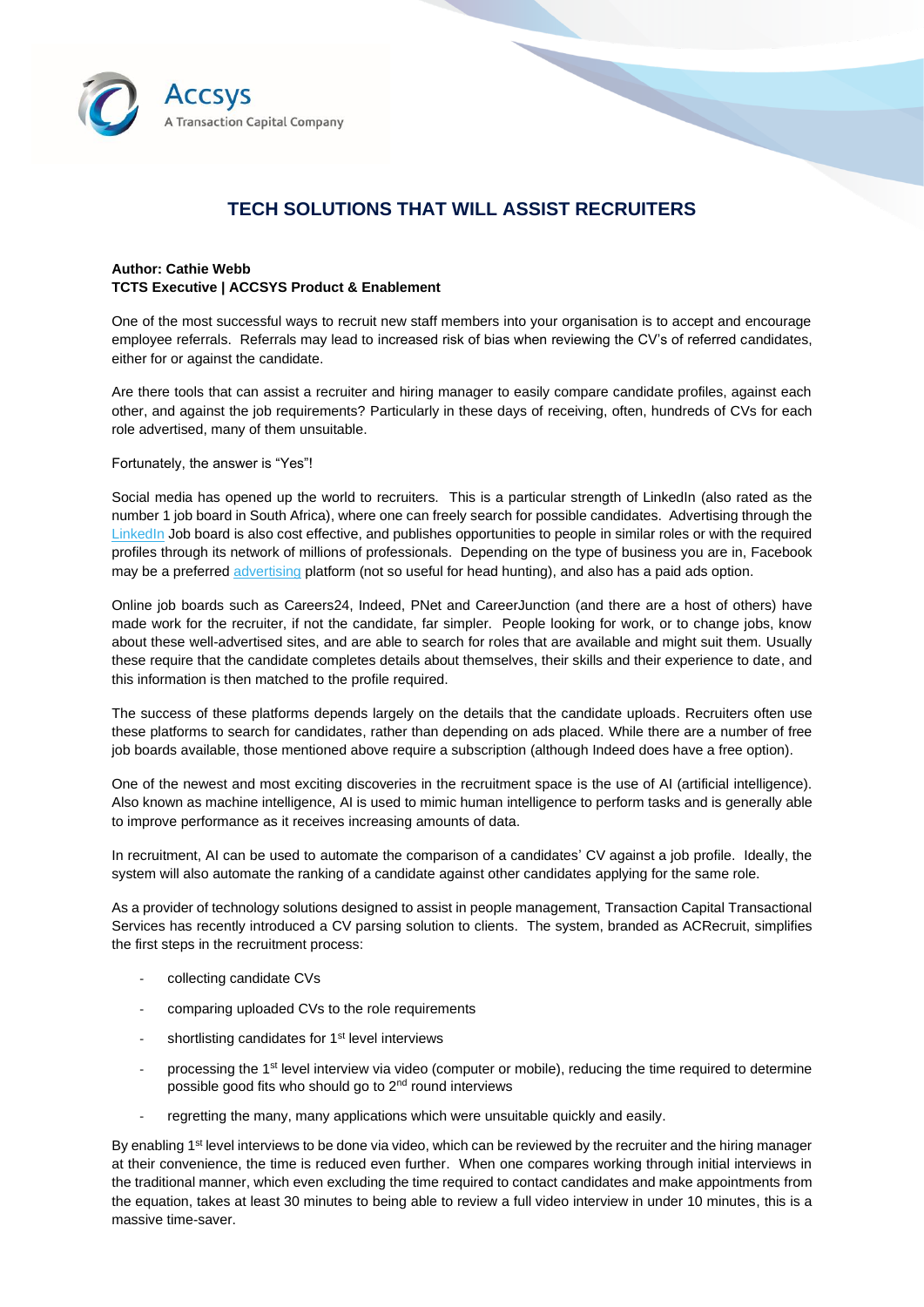

## **TECH SOLUTIONS THAT WILL ASSIST RECRUITERS**

## **Author: Cathie Webb TCTS Executive | ACCSYS Product & Enablement**

One of the most successful ways to recruit new staff members into your organisation is to accept and encourage employee referrals. Referrals may lead to increased risk of bias when reviewing the CV's of referred candidates, either for or against the candidate.

Are there tools that can assist a recruiter and hiring manager to easily compare candidate profiles, against each other, and against the job requirements? Particularly in these days of receiving, often, hundreds of CVs for each role advertised, many of them unsuitable.

## Fortunately, the answer is "Yes"!

Social media has opened up the world to recruiters. This is a particular strength of LinkedIn (also rated as the number 1 job board in South Africa), where one can freely search for possible candidates. Advertising through the [LinkedIn](https://resources.workable.com/tutorial/recruiting-linkedin#:~:text=%20How%20to%20post%20paid%20job%20ads%20,briefcase%29%20at%20the%20top%20of%20your...%20More%20) Job board is also cost effective, and publishes opportunities to people in similar roles or with the required profiles through its network of millions of professionals. Depending on the type of business you are in, Facebook may be a preferre[d advertising](https://resources.workable.com/tutorial/advertise-jobs-facebook) platform (not so useful for head hunting), and also has a paid ads option.

Online job boards such as Careers24, Indeed, PNet and CareerJunction (and there are a host of others) have made work for the recruiter, if not the candidate, far simpler. People looking for work, or to change jobs, know about these well-advertised sites, and are able to search for roles that are available and might suit them. Usually these require that the candidate completes details about themselves, their skills and their experience to date, and this information is then matched to the profile required.

The success of these platforms depends largely on the details that the candidate uploads. Recruiters often use these platforms to search for candidates, rather than depending on ads placed. While there are a number of free job boards available, those mentioned above require a subscription (although Indeed does have a free option).

One of the newest and most exciting discoveries in the recruitment space is the use of AI (artificial intelligence). Also known as machine intelligence, AI is used to mimic human intelligence to perform tasks and is generally able to improve performance as it receives increasing amounts of data.

In recruitment, AI can be used to automate the comparison of a candidates' CV against a job profile. Ideally, the system will also automate the ranking of a candidate against other candidates applying for the same role.

As a provider of technology solutions designed to assist in people management, Transaction Capital Transactional Services has recently introduced a CV parsing solution to clients. The system, branded as ACRecruit, simplifies the first steps in the recruitment process:

- collecting candidate CVs
- comparing uploaded CVs to the role requirements
- shortlisting candidates for 1<sup>st</sup> level interviews
- processing the 1<sup>st</sup> level interview via video (computer or mobile), reducing the time required to determine possible good fits who should go to 2nd round interviews
- regretting the many, many applications which were unsuitable quickly and easily.

By enabling 1<sup>st</sup> level interviews to be done via video, which can be reviewed by the recruiter and the hiring manager at their convenience, the time is reduced even further. When one compares working through initial interviews in the traditional manner, which even excluding the time required to contact candidates and make appointments from the equation, takes at least 30 minutes to being able to review a full video interview in under 10 minutes, this is a massive time-saver.